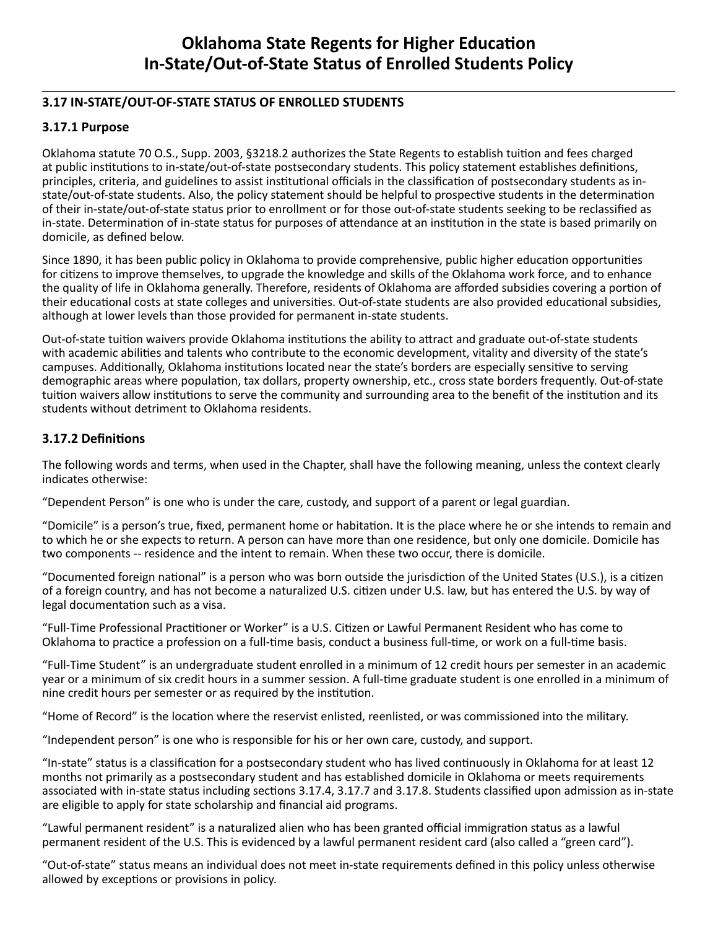# **Oklahoma State Regents for Higher Education In-State/Out-of-State Status of Enrolled Students Policy**

# **3.17 IN-STATE/OUT-OF-STATE STATUS OF ENROLLED STUDENTS**

## **3.17.1 Purpose**

Oklahoma statute 70 O.S., Supp. 2003, §3218.2 authorizes the State Regents to establish tuition and fees charged at public institutions to in-state/out-of-state postsecondary students. This policy statement establishes definitions, principles, criteria, and guidelines to assist institutional officials in the classification of postsecondary students as instate/out-of-state students. Also, the policy statement should be helpful to prospective students in the determination of their in-state/out-of-state status prior to enrollment or for those out-of-state students seeking to be reclassified as in-state. Determination of in-state status for purposes of attendance at an institution in the state is based primarily on domicile, as defined below.

Since 1890, it has been public policy in Oklahoma to provide comprehensive, public higher education opportunities for citizens to improve themselves, to upgrade the knowledge and skills of the Oklahoma work force, and to enhance the quality of life in Oklahoma generally. Therefore, residents of Oklahoma are afforded subsidies covering a portion of their educational costs at state colleges and universities. Out-of-state students are also provided educational subsidies, although at lower levels than those provided for permanent in-state students.

Out-of-state tuition waivers provide Oklahoma institutions the ability to attract and graduate out-of-state students with academic abilities and talents who contribute to the economic development, vitality and diversity of the state's campuses. Additionally, Oklahoma institutions located near the state's borders are especially sensitive to serving demographic areas where population, tax dollars, property ownership, etc., cross state borders frequently. Out-of-state tuition waivers allow institutions to serve the community and surrounding area to the benefit of the institution and its students without detriment to Oklahoma residents.

## **3.17.2 Definitions**

The following words and terms, when used in the Chapter, shall have the following meaning, unless the context clearly indicates otherwise:

"Dependent Person" is one who is under the care, custody, and support of a parent or legal guardian.

"Domicile" is a person's true, fixed, permanent home or habitation. It is the place where he or she intends to remain and to which he or she expects to return. A person can have more than one residence, but only one domicile. Domicile has two components -- residence and the intent to remain. When these two occur, there is domicile.

"Documented foreign national" is a person who was born outside the jurisdiction of the United States (U.S.), is a citizen of a foreign country, and has not become a naturalized U.S. citizen under U.S. law, but has entered the U.S. by way of legal documentation such as a visa.

"Full-Time Professional Practitioner or Worker" is a U.S. Citizen or Lawful Permanent Resident who has come to Oklahoma to practice a profession on a full-time basis, conduct a business full-time, or work on a full-time basis.

"Full-Time Student" is an undergraduate student enrolled in a minimum of 12 credit hours per semester in an academic year or a minimum of six credit hours in a summer session. A full-time graduate student is one enrolled in a minimum of nine credit hours per semester or as required by the institution.

"Home of Record" is the location where the reservist enlisted, reenlisted, or was commissioned into the military.

"Independent person" is one who is responsible for his or her own care, custody, and support.

"In-state" status is a classification for a postsecondary student who has lived continuously in Oklahoma for at least 12 months not primarily as a postsecondary student and has established domicile in Oklahoma or meets requirements associated with in-state status including sections 3.17.4, 3.17.7 and 3.17.8. Students classified upon admission as in-state are eligible to apply for state scholarship and financial aid programs.

"Lawful permanent resident" is a naturalized alien who has been granted official immigration status as a lawful permanent resident of the U.S. This is evidenced by a lawful permanent resident card (also called a "green card").

"Out-of-state" status means an individual does not meet in-state requirements defined in this policy unless otherwise allowed by exceptions or provisions in policy.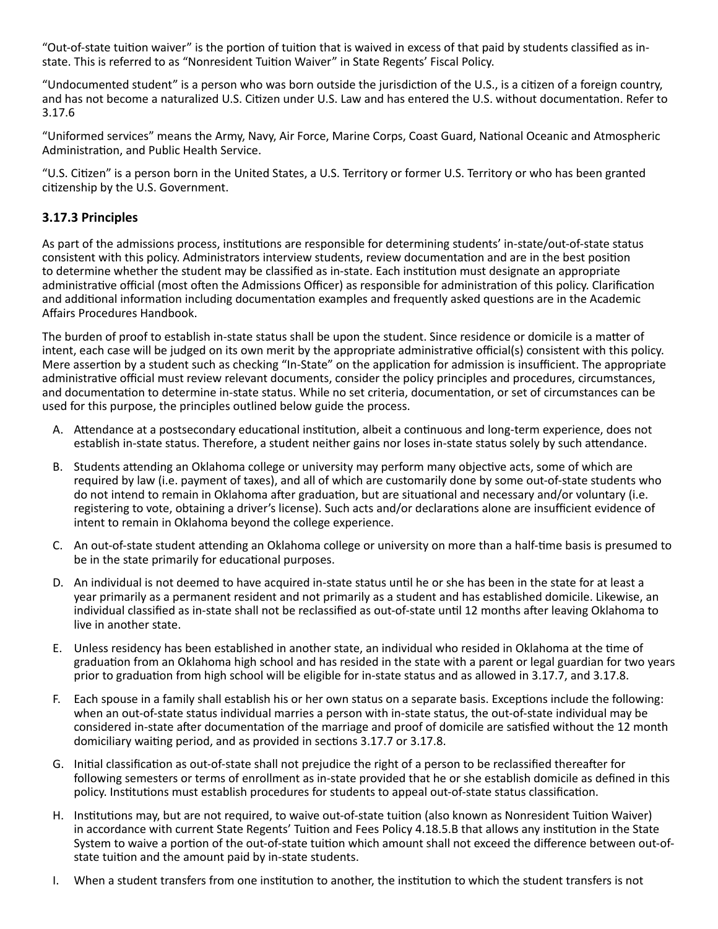"Out-of-state tuition waiver" is the portion of tuition that is waived in excess of that paid by students classified as instate. This is referred to as "Nonresident Tuition Waiver" in State Regents' Fiscal Policy.

"Undocumented student" is a person who was born outside the jurisdiction of the U.S., is a citizen of a foreign country, and has not become a naturalized U.S. Citizen under U.S. Law and has entered the U.S. without documentation. Refer to 3.17.6

"Uniformed services" means the Army, Navy, Air Force, Marine Corps, Coast Guard, National Oceanic and Atmospheric Administration, and Public Health Service.

"U.S. Citizen" is a person born in the United States, a U.S. Territory or former U.S. Territory or who has been granted citizenship by the U.S. Government.

## **3.17.3 Principles**

As part of the admissions process, institutions are responsible for determining students' in-state/out-of-state status consistent with this policy. Administrators interview students, review documentation and are in the best position to determine whether the student may be classified as in-state. Each institution must designate an appropriate administrative official (most often the Admissions Officer) as responsible for administration of this policy. Clarification and additional information including documentation examples and frequently asked questions are in the Academic Affairs Procedures Handbook.

The burden of proof to establish in-state status shall be upon the student. Since residence or domicile is a matter of intent, each case will be judged on its own merit by the appropriate administrative official(s) consistent with this policy. Mere assertion by a student such as checking "In-State" on the application for admission is insufficient. The appropriate administrative official must review relevant documents, consider the policy principles and procedures, circumstances, and documentation to determine in-state status. While no set criteria, documentation, or set of circumstances can be used for this purpose, the principles outlined below guide the process.

- A. Attendance at a postsecondary educational institution, albeit a continuous and long-term experience, does not establish in-state status. Therefore, a student neither gains nor loses in-state status solely by such attendance.
- B. Students attending an Oklahoma college or university may perform many objective acts, some of which are required by law (i.e. payment of taxes), and all of which are customarily done by some out-of-state students who do not intend to remain in Oklahoma after graduation, but are situational and necessary and/or voluntary (i.e. registering to vote, obtaining a driver's license). Such acts and/or declarations alone are insufficient evidence of intent to remain in Oklahoma beyond the college experience.
- C. An out-of-state student attending an Oklahoma college or university on more than a half-time basis is presumed to be in the state primarily for educational purposes.
- D. An individual is not deemed to have acquired in-state status until he or she has been in the state for at least a year primarily as a permanent resident and not primarily as a student and has established domicile. Likewise, an individual classified as in-state shall not be reclassified as out-of-state until 12 months after leaving Oklahoma to live in another state.
- E. Unless residency has been established in another state, an individual who resided in Oklahoma at the time of graduation from an Oklahoma high school and has resided in the state with a parent or legal guardian for two years prior to graduation from high school will be eligible for in-state status and as allowed in 3.17.7, and 3.17.8.
- F. Each spouse in a family shall establish his or her own status on a separate basis. Exceptions include the following: when an out-of-state status individual marries a person with in-state status, the out-of-state individual may be considered in-state after documentation of the marriage and proof of domicile are satisfied without the 12 month domiciliary waiting period, and as provided in sections 3.17.7 or 3.17.8.
- G. Initial classification as out-of-state shall not prejudice the right of a person to be reclassified thereafter for following semesters or terms of enrollment as in-state provided that he or she establish domicile as defined in this policy. Institutions must establish procedures for students to appeal out-of-state status classification.
- H. Institutions may, but are not required, to waive out-of-state tuition (also known as Nonresident Tuition Waiver) in accordance with current State Regents' Tuition and Fees Policy 4.18.5.B that allows any institution in the State System to waive a portion of the out-of-state tuition which amount shall not exceed the difference between out-ofstate tuition and the amount paid by in-state students.
- I. When a student transfers from one institution to another, the institution to which the student transfers is not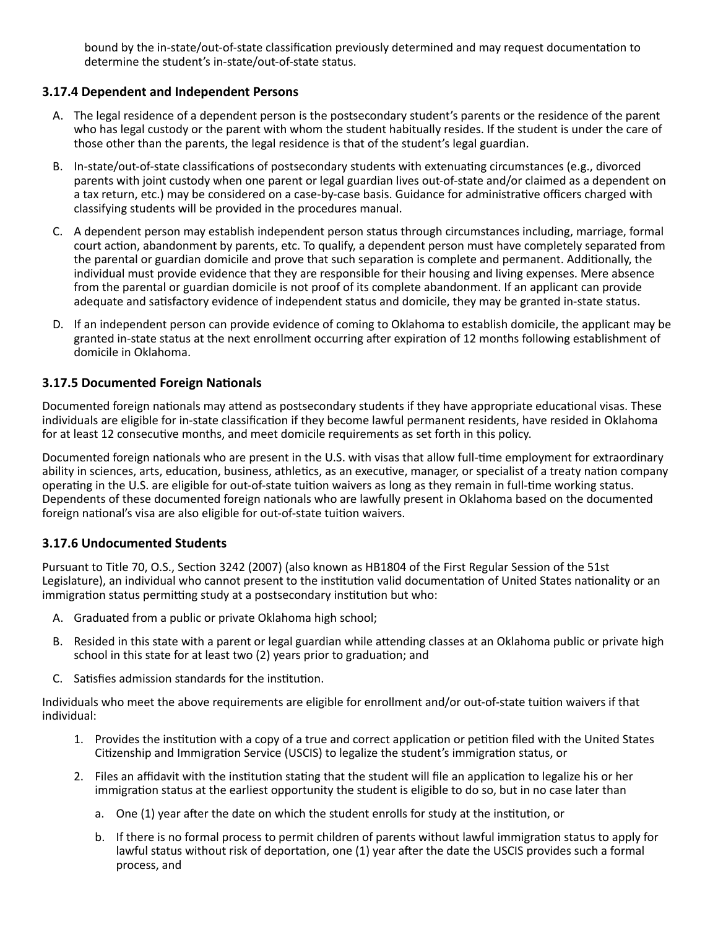bound by the in-state/out-of-state classification previously determined and may request documentation to determine the student's in-state/out-of-state status.

### **3.17.4 Dependent and Independent Persons**

- A. The legal residence of a dependent person is the postsecondary student's parents or the residence of the parent who has legal custody or the parent with whom the student habitually resides. If the student is under the care of those other than the parents, the legal residence is that of the student's legal guardian.
- B. In-state/out-of-state classifications of postsecondary students with extenuating circumstances (e.g., divorced parents with joint custody when one parent or legal guardian lives out-of-state and/or claimed as a dependent on a tax return, etc.) may be considered on a case-by-case basis. Guidance for administrative officers charged with classifying students will be provided in the procedures manual.
- C. A dependent person may establish independent person status through circumstances including, marriage, formal court action, abandonment by parents, etc. To qualify, a dependent person must have completely separated from the parental or guardian domicile and prove that such separation is complete and permanent. Additionally, the individual must provide evidence that they are responsible for their housing and living expenses. Mere absence from the parental or guardian domicile is not proof of its complete abandonment. If an applicant can provide adequate and satisfactory evidence of independent status and domicile, they may be granted in-state status.
- D. If an independent person can provide evidence of coming to Oklahoma to establish domicile, the applicant may be granted in-state status at the next enrollment occurring after expiration of 12 months following establishment of domicile in Oklahoma.

## **3.17.5 Documented Foreign Nationals**

Documented foreign nationals may attend as postsecondary students if they have appropriate educational visas. These individuals are eligible for in-state classification if they become lawful permanent residents, have resided in Oklahoma for at least 12 consecutive months, and meet domicile requirements as set forth in this policy.

Documented foreign nationals who are present in the U.S. with visas that allow full-time employment for extraordinary ability in sciences, arts, education, business, athletics, as an executive, manager, or specialist of a treaty nation company operating in the U.S. are eligible for out-of-state tuition waivers as long as they remain in full-time working status. Dependents of these documented foreign nationals who are lawfully present in Oklahoma based on the documented foreign national's visa are also eligible for out-of-state tuition waivers.

#### **3.17.6 Undocumented Students**

Pursuant to Title 70, O.S., Section 3242 (2007) (also known as HB1804 of the First Regular Session of the 51st Legislature), an individual who cannot present to the institution valid documentation of United States nationality or an immigration status permitting study at a postsecondary institution but who:

- A. Graduated from a public or private Oklahoma high school;
- B. Resided in this state with a parent or legal guardian while attending classes at an Oklahoma public or private high school in this state for at least two (2) years prior to graduation; and
- C. Satisfies admission standards for the institution.

Individuals who meet the above requirements are eligible for enrollment and/or out-of-state tuition waivers if that individual:

- 1. Provides the institution with a copy of a true and correct application or petition filed with the United States Citizenship and Immigration Service (USCIS) to legalize the student's immigration status, or
- 2. Files an affidavit with the institution stating that the student will file an application to legalize his or her immigration status at the earliest opportunity the student is eligible to do so, but in no case later than
	- a. One (1) year after the date on which the student enrolls for study at the institution, or
	- b. If there is no formal process to permit children of parents without lawful immigration status to apply for lawful status without risk of deportation, one (1) year after the date the USCIS provides such a formal process, and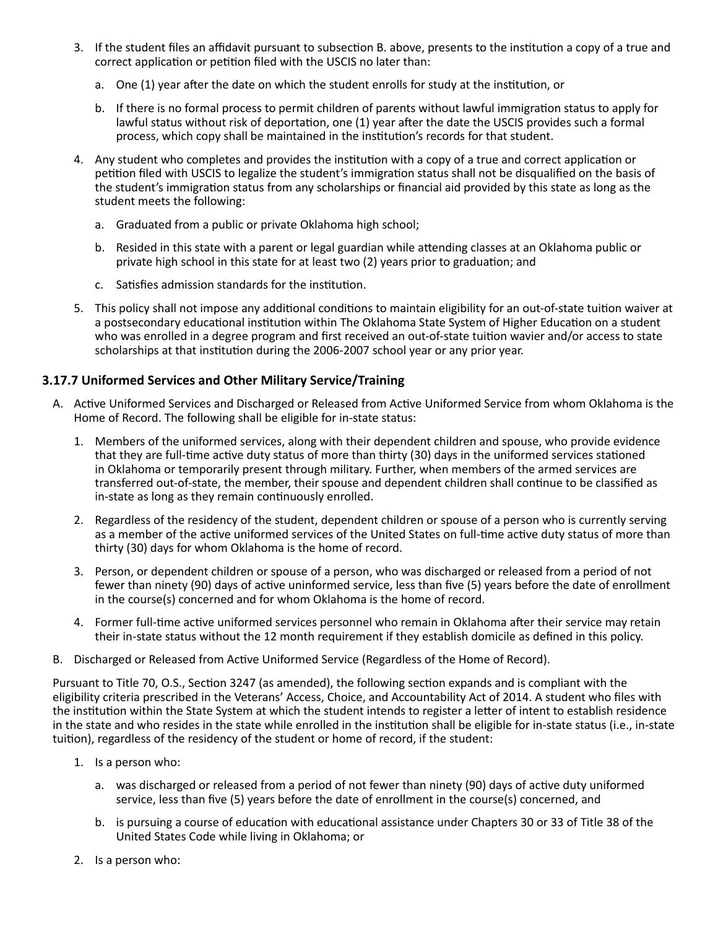- 3. If the student files an affidavit pursuant to subsection B. above, presents to the institution a copy of a true and correct application or petition filed with the USCIS no later than:
	- a. One (1) year after the date on which the student enrolls for study at the institution, or
	- b. If there is no formal process to permit children of parents without lawful immigration status to apply for lawful status without risk of deportation, one (1) year after the date the USCIS provides such a formal process, which copy shall be maintained in the institution's records for that student.
- 4. Any student who completes and provides the institution with a copy of a true and correct application or petition filed with USCIS to legalize the student's immigration status shall not be disqualified on the basis of the student's immigration status from any scholarships or financial aid provided by this state as long as the student meets the following:
	- a. Graduated from a public or private Oklahoma high school;
	- b. Resided in this state with a parent or legal guardian while attending classes at an Oklahoma public or private high school in this state for at least two (2) years prior to graduation; and
	- c. Satisfies admission standards for the institution.
- 5. This policy shall not impose any additional conditions to maintain eligibility for an out-of-state tuition waiver at a postsecondary educational institution within The Oklahoma State System of Higher Education on a student who was enrolled in a degree program and first received an out-of-state tuition wavier and/or access to state scholarships at that institution during the 2006-2007 school year or any prior year.

# **3.17.7 Uniformed Services and Other Military Service/Training**

- A. Active Uniformed Services and Discharged or Released from Active Uniformed Service from whom Oklahoma is the Home of Record. The following shall be eligible for in-state status:
	- 1. Members of the uniformed services, along with their dependent children and spouse, who provide evidence that they are full-time active duty status of more than thirty (30) days in the uniformed services stationed in Oklahoma or temporarily present through military. Further, when members of the armed services are transferred out-of-state, the member, their spouse and dependent children shall continue to be classified as in-state as long as they remain continuously enrolled.
	- 2. Regardless of the residency of the student, dependent children or spouse of a person who is currently serving as a member of the active uniformed services of the United States on full-time active duty status of more than thirty (30) days for whom Oklahoma is the home of record.
	- 3. Person, or dependent children or spouse of a person, who was discharged or released from a period of not fewer than ninety (90) days of active uninformed service, less than five (5) years before the date of enrollment in the course(s) concerned and for whom Oklahoma is the home of record.
	- 4. Former full-time active uniformed services personnel who remain in Oklahoma after their service may retain their in-state status without the 12 month requirement if they establish domicile as defined in this policy.
- B. Discharged or Released from Active Uniformed Service (Regardless of the Home of Record).

Pursuant to Title 70, O.S., Section 3247 (as amended), the following section expands and is compliant with the eligibility criteria prescribed in the Veterans' Access, Choice, and Accountability Act of 2014. A student who files with the institution within the State System at which the student intends to register a letter of intent to establish residence in the state and who resides in the state while enrolled in the institution shall be eligible for in-state status (i.e., in-state tuition), regardless of the residency of the student or home of record, if the student:

- 1. Is a person who:
	- a. was discharged or released from a period of not fewer than ninety (90) days of active duty uniformed service, less than five (5) years before the date of enrollment in the course(s) concerned, and
	- b. is pursuing a course of education with educational assistance under Chapters 30 or 33 of Title 38 of the United States Code while living in Oklahoma; or
- 2. Is a person who: